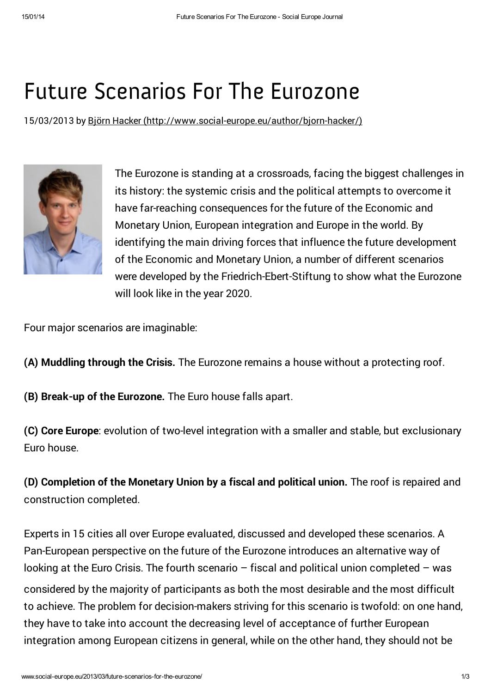## Future [Scenarios](http://www.social-europe.eu/) For The Eurozone

15/03/2013 by Björn Hacker [\(http://www.social-europe.eu/author/bjorn-hacker/\)](http://www.social-europe.eu/author/bjorn-hacker/)



The Eurozone is standing at a crossroads, facing the biggest challenges in its history: the systemic crisis and the political attempts to overcome it have far-reaching consequences for the future of the Economic and Monetary Union, European integration and Europe in the world. By identifying the main driving forces that influence the future development of the Economic and Monetary Union, a number of different scenarios were developed by the Friedrich-Ebert-Stiftung to show what the Eurozone will look like in the year 2020.

Four major scenarios are imaginable:

- (A) Muddling through the Crisis. The Eurozone remains a house without a protecting roof.
- (B) Break-up of the Eurozone. The Euro house falls apart.

(C) Core Europe: evolution of two-level integration with a smaller and stable, but exclusionary Euro house.

(D) Completion of the Monetary Union by a fiscal and political union. The roof is repaired and construction completed.

Experts in 15 cities all over Europe evaluated, discussed and developed these scenarios. A Pan-European perspective on the future of the Eurozone introduces an alternative way of looking at the Euro Crisis. The fourth scenario  $-$  fiscal and political union completed  $-$  was considered by the majority of participants as both the most desirable and the most difficult to achieve. The problem for decision-makers striving for this scenario is twofold: on one hand, they have to take into account the decreasing level of acceptance of further European integration among European citizens in general, while on the other hand, they should not be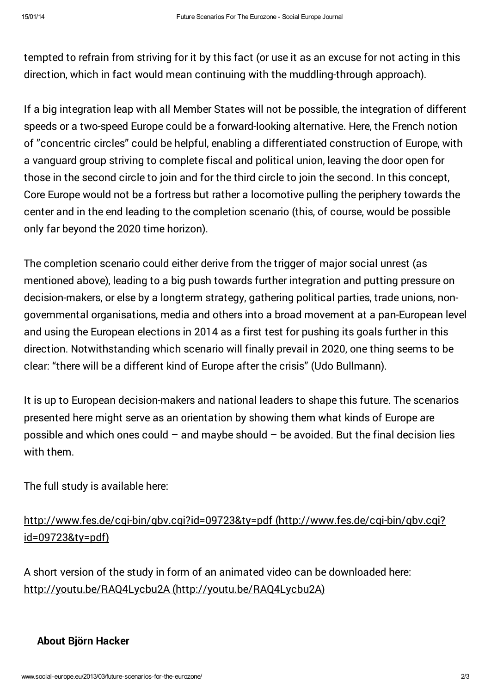tempted to refrain from striving for it by this fact (or use it as an excuse for not acting in this direction, which in fact would mean continuing with the muddling-through approach).

integration among European citizens in general, while on the other hand, they should not be

If a big integration leap with all Member States will not be possible, the integration of different speeds or a two-speed Europe could be a forward-looking alternative. Here, the French notion of "concentric circles" could be helpful, enabling a differentiated construction of Europe, with a vanguard group striving to complete fiscal and political union, leaving the door open for those in the second circle to join and for the third circle to join the second. In this concept, Core Europe would not be a fortress but rather a locomotive pulling the periphery towards the center and in the end leading to the completion scenario (this, of course, would be possible only far beyond the 2020 time horizon).

The completion scenario could either derive from the trigger of major social unrest (as mentioned above), leading to a big push towards further integration and putting pressure on decision-makers, or else by a longterm strategy, gathering political parties, trade unions, nongovernmental organisations, media and others into a broad movement at a pan-European level and using the European elections in 2014 as a first test for pushing its goals further in this direction. Notwithstanding which scenario will finally prevail in 2020, one thing seems to be clear: "there will be a different kind of Europe after the crisis" (Udo Bullmann).

It is up to European decision-makers and national leaders to shape this future. The scenarios presented here might serve as an orientation by showing them what kinds of Europe are possible and which ones could  $-$  and maybe should  $-$  be avoided. But the final decision lies with them.

The full study is available here:

<http://www.fes.de/cgi-bin/gbv.cgi?id=09723&ty=pdf> (http://www.fes.de/cgi-bin/gbv.cgi? id=09723&ty=pdf)

A short version of the study in form of an animated video can be downloaded here: http://youtu.be/RAQ4Lycbu2A [\(http://youtu.be/RAQ4Lycbu2A\)](http://youtu.be/RAQ4Lycbu2A)

## About Björn Hacker